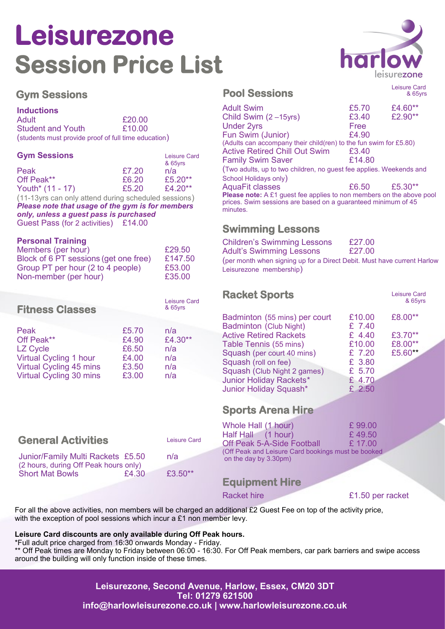# **Leisurezone Session Price List**

### **Gym Sessions**

### **Inductions**

| Adult                                                | £20.00 |
|------------------------------------------------------|--------|
| <b>Student and Youth</b>                             | £10.00 |
| (students must provide proof of full time education) |        |

| <b>Gym Sessions</b>                                                                                                                                                                                                                                                                                                |       | <b>Leisure Card</b><br>& 65yrs |
|--------------------------------------------------------------------------------------------------------------------------------------------------------------------------------------------------------------------------------------------------------------------------------------------------------------------|-------|--------------------------------|
| Peak                                                                                                                                                                                                                                                                                                               | £7.20 | n/a                            |
| Off Peak**                                                                                                                                                                                                                                                                                                         | £6.20 | £5.20**                        |
| Youth* (11 - 17)                                                                                                                                                                                                                                                                                                   | £5.20 | £4.20**                        |
| $\sqrt{1}$ $\sqrt{2}$ $\sqrt{2}$ $\sqrt{2}$ $\sqrt{2}$ $\sqrt{2}$ $\sqrt{2}$ $\sqrt{2}$ $\sqrt{2}$ $\sqrt{2}$ $\sqrt{2}$ $\sqrt{2}$ $\sqrt{2}$ $\sqrt{2}$ $\sqrt{2}$ $\sqrt{2}$ $\sqrt{2}$ $\sqrt{2}$ $\sqrt{2}$ $\sqrt{2}$ $\sqrt{2}$ $\sqrt{2}$ $\sqrt{2}$ $\sqrt{2}$ $\sqrt{2}$ $\sqrt{2}$ $\sqrt{2}$ $\sqrt{2$ |       |                                |

(11-13yrs can only attend during scheduled sessions) *Please note that usage of the gym is for members only, unless a guest pass is purchased* Guest Pass (for 2 activities) £14.00

#### **Personal Training**

| Members (per hour)                    | £29.50  |
|---------------------------------------|---------|
| Block of 6 PT sessions (get one free) | £147.50 |
| Group PT per hour (2 to 4 people)     | £53.00  |
| Non-member (per hour)                 | £35.00  |

| <b>Fitness Classes</b>        |       | Leisure Card<br>& 65yrs |
|-------------------------------|-------|-------------------------|
| Peak                          | £5.70 | n/a                     |
| Off Peak**                    | £4.90 | £4.30**                 |
| <b>LZ Cycle</b>               | £6.50 | n/a                     |
| <b>Virtual Cycling 1 hour</b> | £4.00 | n/a                     |
| Virtual Cycling 45 mins       | £3.50 | n/a                     |
| Virtual Cycling 30 mins       | £3.00 | n/a                     |

### **Pool Sessions**

 & 65yrs Adult Swim  $\begin{array}{ccc} \text{Adult} & \text{Swim} & \text{E5.70} & \text{E4.60}^{**} \\ \text{Child Swim} & (2 - 15 \text{vrs}) & \text{E3.40} & \text{E2.90}^{**} \end{array}$ Child Swim (2 –15yrs) £3.40 £2.90\*\* Under 2yrs Free Fun Swim (Junior) 64.90 (Adults can accompany their child(ren) to the fun swim for £5.80) Active Retired Chill Out Swim £3.40 Family Swim Saver **E14.80** (Two adults, up to two children, no guest fee applies. Weekends and School Holidays only) AquaFit classes **EG.50** £5.30<sup>\*\*</sup> **Please note:** A £1 quest fee applies to non members on the above pool prices. Swim sessions are based on a guaranteed minimum of 45 minutes.

### **Swimming Lessons**

| <b>Children's Swimming Lessons</b>                                      | £27.00 |
|-------------------------------------------------------------------------|--------|
| <b>Adult's Swimming Lessons</b>                                         | £27.00 |
| (per month when signing up for a Direct Debit. Must have current Harlow |        |
| Leisurezone membership)                                                 |        |

### **Racket Sports**

| Badminton (55 mins) per court | £10.00 | £8.00** |
|-------------------------------|--------|---------|
| <b>Badminton (Club Night)</b> | £ 7.40 |         |
| <b>Active Retired Rackets</b> | £ 4.40 | £3.70** |
| Table Tennis (55 mins)        | £10.00 | £8.00** |
| Squash (per court 40 mins)    | £ 7.20 | £5.60** |
| Squash (roll on fee)          | £ 3.80 |         |
| Squash (Club Night 2 games)   | £ 5.70 |         |
| Junior Holiday Rackets*       | £ 4.70 |         |
| Junior Holiday Squash*        | £ 2.50 |         |
|                               |        |         |

### **Sports Arena Hire**

| <b>General Activities</b>                                                  |       | <b>Leisure Card</b> | Whole Hall (1 hour)<br>Half Hall (1 hour)<br><b>Off Peak 5-A-Side Football</b> | £99.00<br>£49.50<br>£ 17.00 |
|----------------------------------------------------------------------------|-------|---------------------|--------------------------------------------------------------------------------|-----------------------------|
| Junior/Family Multi Rackets £5.50<br>(2 hours, during Off Peak hours only) |       | n/a                 | (Off Peak and Leisure Card bookings must be booked<br>on the day by 3.30pm)    |                             |
| <b>Short Mat Bowls</b>                                                     | £4.30 | £3.50**             | <b>Equipment Hire</b>                                                          |                             |

Racket hire **E1.50** per racket

Leisure Card & 65yrs

For all the above activities, non members will be charged an additional £2 Guest Fee on top of the activity price, with the exception of pool sessions which incur a £1 non member levy.

#### **Leisure Card discounts are only available during Off Peak hours.**

\*Full adult price charged from 16:30 onwards Monday - Friday.

\*\* Off Peak times are Monday to Friday between 06:00 - 16:30. For Off Peak members, car park barriers and swipe access around the building will only function inside of these times.

> **Leisurezone, Second Avenue, Harlow, Essex, CM20 3DT Tel: 01279 621500 info@harlowleisurezone.co.uk | www.harlowleisurezone.co.uk**



Leisure Card